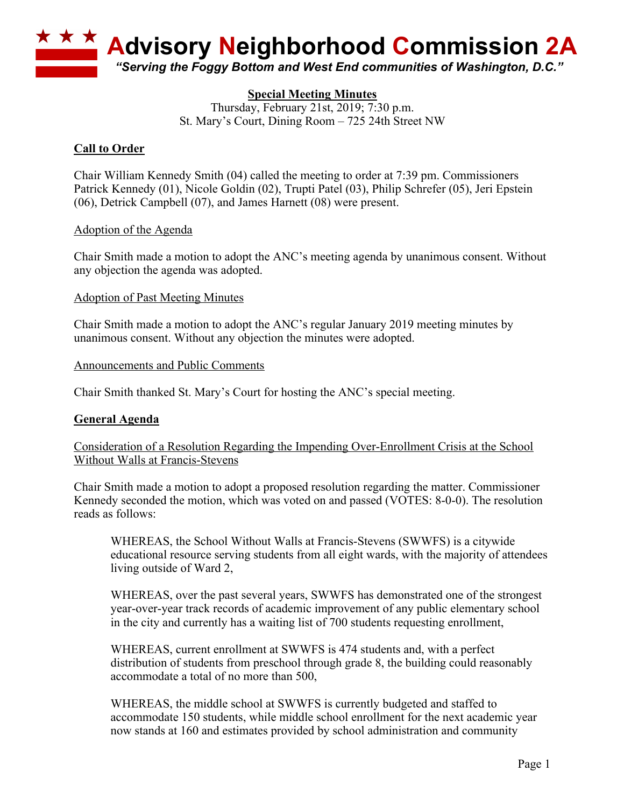

# **Special Meeting Minutes**

Thursday, February 21st, 2019; 7:30 p.m. St. Mary's Court, Dining Room – 725 24th Street NW

## **Call to Order**

Chair William Kennedy Smith (04) called the meeting to order at 7:39 pm. Commissioners Patrick Kennedy (01), Nicole Goldin (02), Trupti Patel (03), Philip Schrefer (05), Jeri Epstein (06), Detrick Campbell (07), and James Harnett (08) were present.

## Adoption of the Agenda

Chair Smith made a motion to adopt the ANC's meeting agenda by unanimous consent. Without any objection the agenda was adopted.

### Adoption of Past Meeting Minutes

Chair Smith made a motion to adopt the ANC's regular January 2019 meeting minutes by unanimous consent. Without any objection the minutes were adopted.

### Announcements and Public Comments

Chair Smith thanked St. Mary's Court for hosting the ANC's special meeting.

## **General Agenda**

## Consideration of a Resolution Regarding the Impending Over-Enrollment Crisis at the School Without Walls at Francis-Stevens

Chair Smith made a motion to adopt a proposed resolution regarding the matter. Commissioner Kennedy seconded the motion, which was voted on and passed (VOTES: 8-0-0). The resolution reads as follows:

WHEREAS, the School Without Walls at Francis-Stevens (SWWFS) is a citywide educational resource serving students from all eight wards, with the majority of attendees living outside of Ward 2,

WHEREAS, over the past several years, SWWFS has demonstrated one of the strongest year-over-year track records of academic improvement of any public elementary school in the city and currently has a waiting list of 700 students requesting enrollment,

WHEREAS, current enrollment at SWWFS is 474 students and, with a perfect distribution of students from preschool through grade 8, the building could reasonably accommodate a total of no more than 500,

WHEREAS, the middle school at SWWFS is currently budgeted and staffed to accommodate 150 students, while middle school enrollment for the next academic year now stands at 160 and estimates provided by school administration and community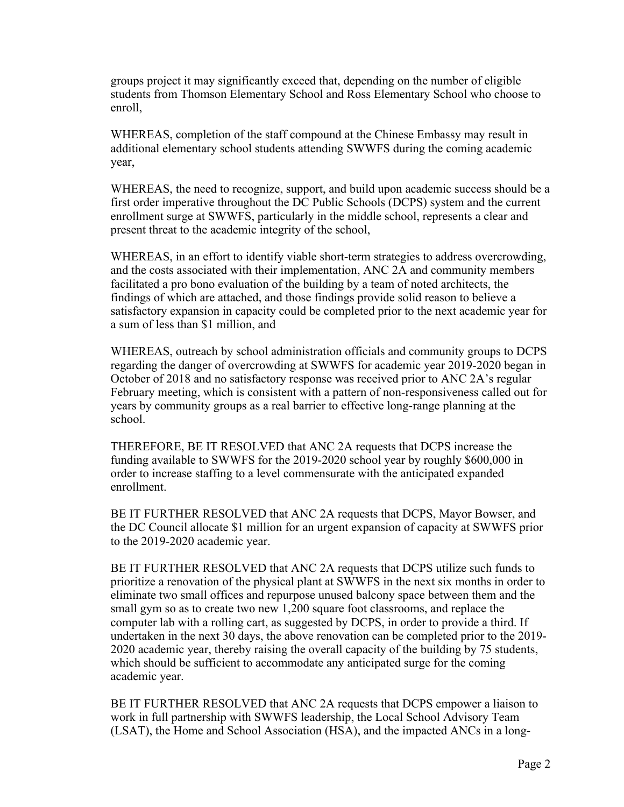groups project it may significantly exceed that, depending on the number of eligible students from Thomson Elementary School and Ross Elementary School who choose to enroll,

WHEREAS, completion of the staff compound at the Chinese Embassy may result in additional elementary school students attending SWWFS during the coming academic year,

WHEREAS, the need to recognize, support, and build upon academic success should be a first order imperative throughout the DC Public Schools (DCPS) system and the current enrollment surge at SWWFS, particularly in the middle school, represents a clear and present threat to the academic integrity of the school,

WHEREAS, in an effort to identify viable short-term strategies to address overcrowding, and the costs associated with their implementation, ANC 2A and community members facilitated a pro bono evaluation of the building by a team of noted architects, the findings of which are attached, and those findings provide solid reason to believe a satisfactory expansion in capacity could be completed prior to the next academic year for a sum of less than \$1 million, and

WHEREAS, outreach by school administration officials and community groups to DCPS regarding the danger of overcrowding at SWWFS for academic year 2019-2020 began in October of 2018 and no satisfactory response was received prior to ANC 2A's regular February meeting, which is consistent with a pattern of non-responsiveness called out for years by community groups as a real barrier to effective long-range planning at the school.

THEREFORE, BE IT RESOLVED that ANC 2A requests that DCPS increase the funding available to SWWFS for the 2019-2020 school year by roughly \$600,000 in order to increase staffing to a level commensurate with the anticipated expanded enrollment.

BE IT FURTHER RESOLVED that ANC 2A requests that DCPS, Mayor Bowser, and the DC Council allocate \$1 million for an urgent expansion of capacity at SWWFS prior to the 2019-2020 academic year.

BE IT FURTHER RESOLVED that ANC 2A requests that DCPS utilize such funds to prioritize a renovation of the physical plant at SWWFS in the next six months in order to eliminate two small offices and repurpose unused balcony space between them and the small gym so as to create two new 1,200 square foot classrooms, and replace the computer lab with a rolling cart, as suggested by DCPS, in order to provide a third. If undertaken in the next 30 days, the above renovation can be completed prior to the 2019- 2020 academic year, thereby raising the overall capacity of the building by 75 students, which should be sufficient to accommodate any anticipated surge for the coming academic year.

BE IT FURTHER RESOLVED that ANC 2A requests that DCPS empower a liaison to work in full partnership with SWWFS leadership, the Local School Advisory Team (LSAT), the Home and School Association (HSA), and the impacted ANCs in a long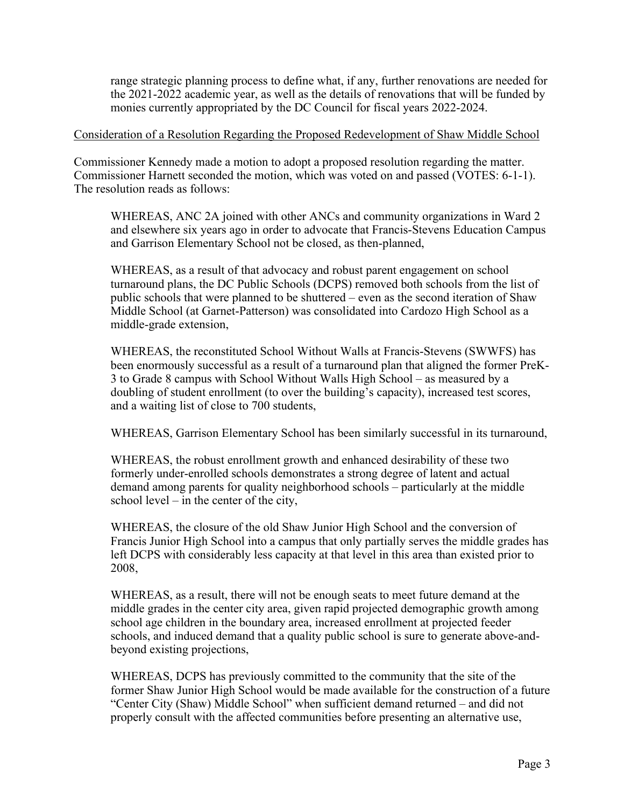range strategic planning process to define what, if any, further renovations are needed for the 2021-2022 academic year, as well as the details of renovations that will be funded by monies currently appropriated by the DC Council for fiscal years 2022-2024.

### Consideration of a Resolution Regarding the Proposed Redevelopment of Shaw Middle School

Commissioner Kennedy made a motion to adopt a proposed resolution regarding the matter. Commissioner Harnett seconded the motion, which was voted on and passed (VOTES: 6-1-1). The resolution reads as follows:

WHEREAS, ANC 2A joined with other ANCs and community organizations in Ward 2 and elsewhere six years ago in order to advocate that Francis-Stevens Education Campus and Garrison Elementary School not be closed, as then-planned,

WHEREAS, as a result of that advocacy and robust parent engagement on school turnaround plans, the DC Public Schools (DCPS) removed both schools from the list of public schools that were planned to be shuttered – even as the second iteration of Shaw Middle School (at Garnet-Patterson) was consolidated into Cardozo High School as a middle-grade extension,

WHEREAS, the reconstituted School Without Walls at Francis-Stevens (SWWFS) has been enormously successful as a result of a turnaround plan that aligned the former PreK-3 to Grade 8 campus with School Without Walls High School – as measured by a doubling of student enrollment (to over the building's capacity), increased test scores, and a waiting list of close to 700 students,

WHEREAS, Garrison Elementary School has been similarly successful in its turnaround,

WHEREAS, the robust enrollment growth and enhanced desirability of these two formerly under-enrolled schools demonstrates a strong degree of latent and actual demand among parents for quality neighborhood schools – particularly at the middle school level – in the center of the city,

WHEREAS, the closure of the old Shaw Junior High School and the conversion of Francis Junior High School into a campus that only partially serves the middle grades has left DCPS with considerably less capacity at that level in this area than existed prior to 2008,

WHEREAS, as a result, there will not be enough seats to meet future demand at the middle grades in the center city area, given rapid projected demographic growth among school age children in the boundary area, increased enrollment at projected feeder schools, and induced demand that a quality public school is sure to generate above-andbeyond existing projections,

WHEREAS, DCPS has previously committed to the community that the site of the former Shaw Junior High School would be made available for the construction of a future "Center City (Shaw) Middle School" when sufficient demand returned – and did not properly consult with the affected communities before presenting an alternative use,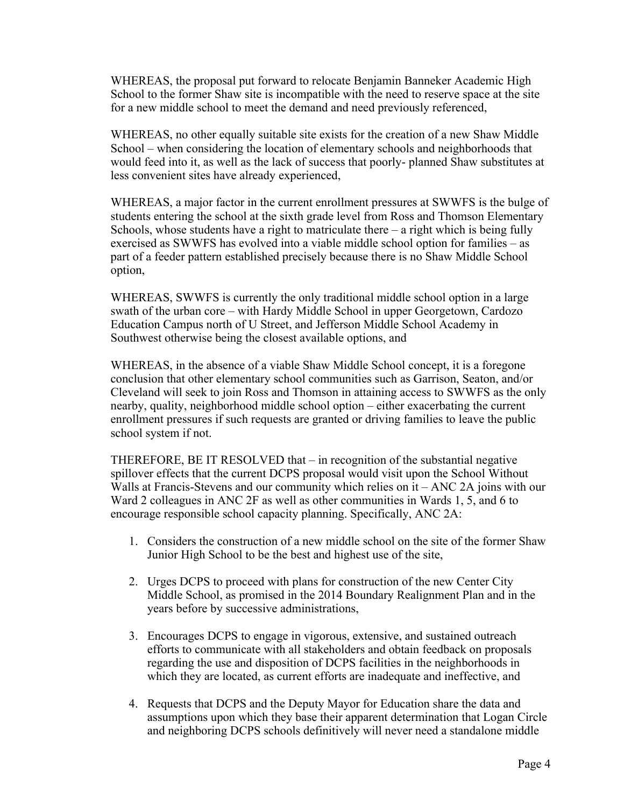WHEREAS, the proposal put forward to relocate Benjamin Banneker Academic High School to the former Shaw site is incompatible with the need to reserve space at the site for a new middle school to meet the demand and need previously referenced,

WHEREAS, no other equally suitable site exists for the creation of a new Shaw Middle School – when considering the location of elementary schools and neighborhoods that would feed into it, as well as the lack of success that poorly- planned Shaw substitutes at less convenient sites have already experienced,

WHEREAS, a major factor in the current enrollment pressures at SWWFS is the bulge of students entering the school at the sixth grade level from Ross and Thomson Elementary Schools, whose students have a right to matriculate there  $-$  a right which is being fully exercised as SWWFS has evolved into a viable middle school option for families – as part of a feeder pattern established precisely because there is no Shaw Middle School option,

WHEREAS, SWWFS is currently the only traditional middle school option in a large swath of the urban core – with Hardy Middle School in upper Georgetown, Cardozo Education Campus north of U Street, and Jefferson Middle School Academy in Southwest otherwise being the closest available options, and

WHEREAS, in the absence of a viable Shaw Middle School concept, it is a foregone conclusion that other elementary school communities such as Garrison, Seaton, and/or Cleveland will seek to join Ross and Thomson in attaining access to SWWFS as the only nearby, quality, neighborhood middle school option – either exacerbating the current enrollment pressures if such requests are granted or driving families to leave the public school system if not.

THEREFORE, BE IT RESOLVED that – in recognition of the substantial negative spillover effects that the current DCPS proposal would visit upon the School Without Walls at Francis-Stevens and our community which relies on it – ANC 2A joins with our Ward 2 colleagues in ANC 2F as well as other communities in Wards 1, 5, and 6 to encourage responsible school capacity planning. Specifically, ANC 2A:

- 1. Considers the construction of a new middle school on the site of the former Shaw Junior High School to be the best and highest use of the site,
- 2. Urges DCPS to proceed with plans for construction of the new Center City Middle School, as promised in the 2014 Boundary Realignment Plan and in the years before by successive administrations,
- 3. Encourages DCPS to engage in vigorous, extensive, and sustained outreach efforts to communicate with all stakeholders and obtain feedback on proposals regarding the use and disposition of DCPS facilities in the neighborhoods in which they are located, as current efforts are inadequate and ineffective, and
- 4. Requests that DCPS and the Deputy Mayor for Education share the data and assumptions upon which they base their apparent determination that Logan Circle and neighboring DCPS schools definitively will never need a standalone middle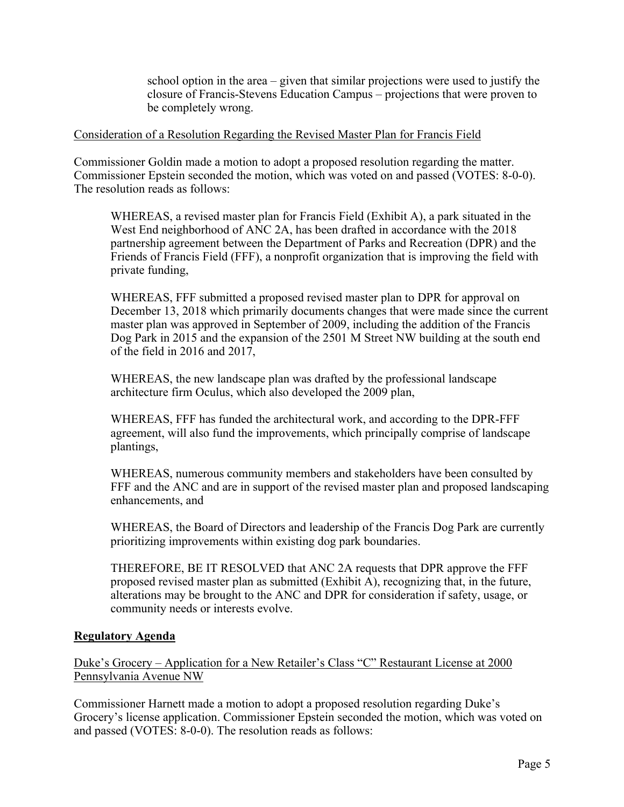school option in the area – given that similar projections were used to justify the closure of Francis-Stevens Education Campus – projections that were proven to be completely wrong.

### Consideration of a Resolution Regarding the Revised Master Plan for Francis Field

Commissioner Goldin made a motion to adopt a proposed resolution regarding the matter. Commissioner Epstein seconded the motion, which was voted on and passed (VOTES: 8-0-0). The resolution reads as follows:

WHEREAS, a revised master plan for Francis Field (Exhibit A), a park situated in the West End neighborhood of ANC 2A, has been drafted in accordance with the 2018 partnership agreement between the Department of Parks and Recreation (DPR) and the Friends of Francis Field (FFF), a nonprofit organization that is improving the field with private funding,

WHEREAS, FFF submitted a proposed revised master plan to DPR for approval on December 13, 2018 which primarily documents changes that were made since the current master plan was approved in September of 2009, including the addition of the Francis Dog Park in 2015 and the expansion of the 2501 M Street NW building at the south end of the field in 2016 and 2017,

WHEREAS, the new landscape plan was drafted by the professional landscape architecture firm Oculus, which also developed the 2009 plan,

WHEREAS, FFF has funded the architectural work, and according to the DPR-FFF agreement, will also fund the improvements, which principally comprise of landscape plantings,

WHEREAS, numerous community members and stakeholders have been consulted by FFF and the ANC and are in support of the revised master plan and proposed landscaping enhancements, and

WHEREAS, the Board of Directors and leadership of the Francis Dog Park are currently prioritizing improvements within existing dog park boundaries.

THEREFORE, BE IT RESOLVED that ANC 2A requests that DPR approve the FFF proposed revised master plan as submitted (Exhibit A), recognizing that, in the future, alterations may be brought to the ANC and DPR for consideration if safety, usage, or community needs or interests evolve.

## **Regulatory Agenda**

Duke's Grocery – Application for a New Retailer's Class "C" Restaurant License at 2000 Pennsylvania Avenue NW

Commissioner Harnett made a motion to adopt a proposed resolution regarding Duke's Grocery's license application. Commissioner Epstein seconded the motion, which was voted on and passed (VOTES: 8-0-0). The resolution reads as follows: